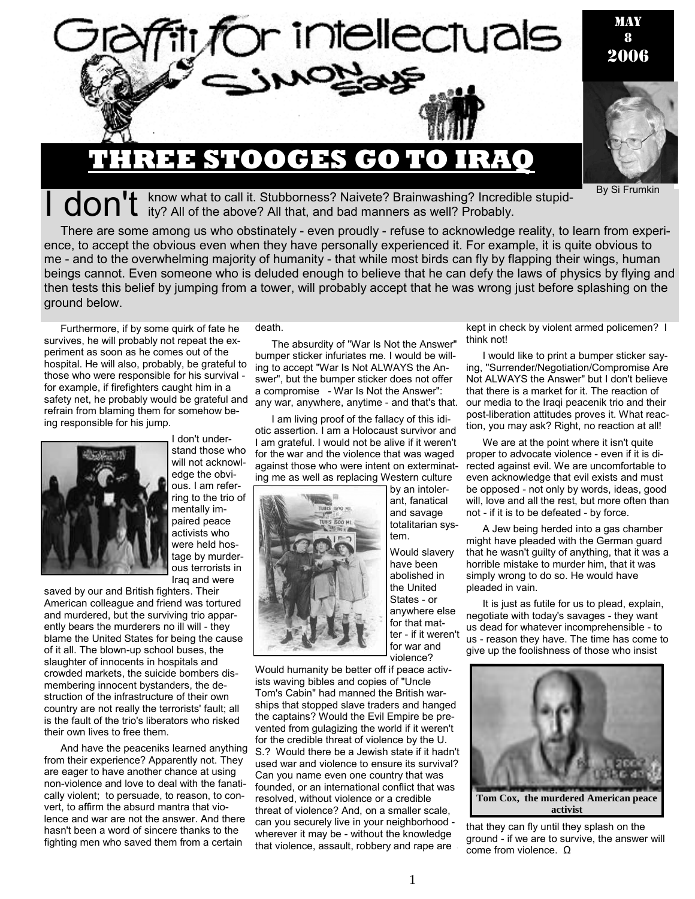

# I don't know what to call it. Stubborness? Naivete? Brainwashing? Incredible stupid-<br>I don't ity? All of the above? All that, and bad manners as well? Probably.

There are some among us who obstinately - even proudly - refuse to acknowledge reality, to learn from experience, to accept the obvious even when they have personally experienced it. For example, it is quite obvious to me - and to the overwhelming majority of humanity - that while most birds can fly by flapping their wings, human beings cannot. Even someone who is deluded enough to believe that he can defy the laws of physics by flying and then tests this belief by jumping from a tower, will probably accept that he was wrong just before splashing on the ground below.

Furthermore, if by some quirk of fate he survives, he will probably not repeat the experiment as soon as he comes out of the hospital. He will also, probably, be grateful to those who were responsible for his survival for example, if firefighters caught him in a safety net, he probably would be grateful and refrain from blaming them for somehow being responsible for his jump.



I don't understand those who will not acknowledge the obvious. I am refer-

ring to the trio of mentally impaired peace activists who were held hostage by murderous terrorists in Iraq and were

saved by our and British fighters. Their American colleague and friend was tortured and murdered, but the surviving trio apparently bears the murderers no ill will - they blame the United States for being the cause of it all. The blown-up school buses, the slaughter of innocents in hospitals and crowded markets, the suicide bombers dismembering innocent bystanders, the destruction of the infrastructure of their own country are not really the terrorists' fault; all is the fault of the trio's liberators who risked their own lives to free them.

And have the peaceniks learned anything from their experience? Apparently not. They are eager to have another chance at using non-violence and love to deal with the fanatically violent; to persuade, to reason, to convert, to affirm the absurd mantra that violence and war are not the answer. And there hasn't been a word of sincere thanks to the fighting men who saved them from a certain

death.

The absurdity of "War Is Not the Answer" bumper sticker infuriates me. I would be willing to accept "War Is Not ALWAYS the Answer", but the bumper sticker does not offer a compromise - War Is Not the Answer": any war, anywhere, anytime - and that's that.

I am living proof of the fallacy of this idiotic assertion. I am a Holocaust survivor and I am grateful. I would not be alive if it weren't for the war and the violence that was waged against those who were intent on exterminating me as well as replacing Western culture



ant, fanatical and savage totalitarian system. Would slavery have been

by an intoler-

abolished in the United States - or anywhere else for that matter - if it weren't for war and violence?

Would humanity be better off if peace activists waving bibles and copies of "Uncle Tom's Cabin" had manned the British warships that stopped slave traders and hanged the captains? Would the Evil Empire be prevented from gulagizing the world if it weren't for the credible threat of violence by the U. S.? Would there be a Jewish state if it hadn't used war and violence to ensure its survival? Can you name even one country that was founded, or an international conflict that was resolved, without violence or a credible threat of violence? And, on a smaller scale, can you securely live in your neighborhood wherever it may be - without the knowledge that violence, assault, robbery and rape are

kept in check by violent armed policemen? I think not!

By Si Frumkin

I would like to print a bumper sticker saying, "Surrender/Negotiation/Compromise Are Not ALWAYS the Answer" but I don't believe that there is a market for it. The reaction of our media to the Iraqi peacenik trio and their post-liberation attitudes proves it. What reaction, you may ask? Right, no reaction at all!

We are at the point where it isn't quite proper to advocate violence - even if it is directed against evil. We are uncomfortable to even acknowledge that evil exists and must be opposed - not only by words, ideas, good will, love and all the rest, but more often than not - if it is to be defeated - by force.

A Jew being herded into a gas chamber might have pleaded with the German guard that he wasn't guilty of anything, that it was a horrible mistake to murder him, that it was simply wrong to do so. He would have pleaded in vain.

It is just as futile for us to plead, explain, negotiate with today's savages - they want us dead for whatever incomprehensible - to us - reason they have. The time has come to give up the foolishness of those who insist



that they can fly until they splash on the ground - if we are to survive, the answer will come from violence. Ω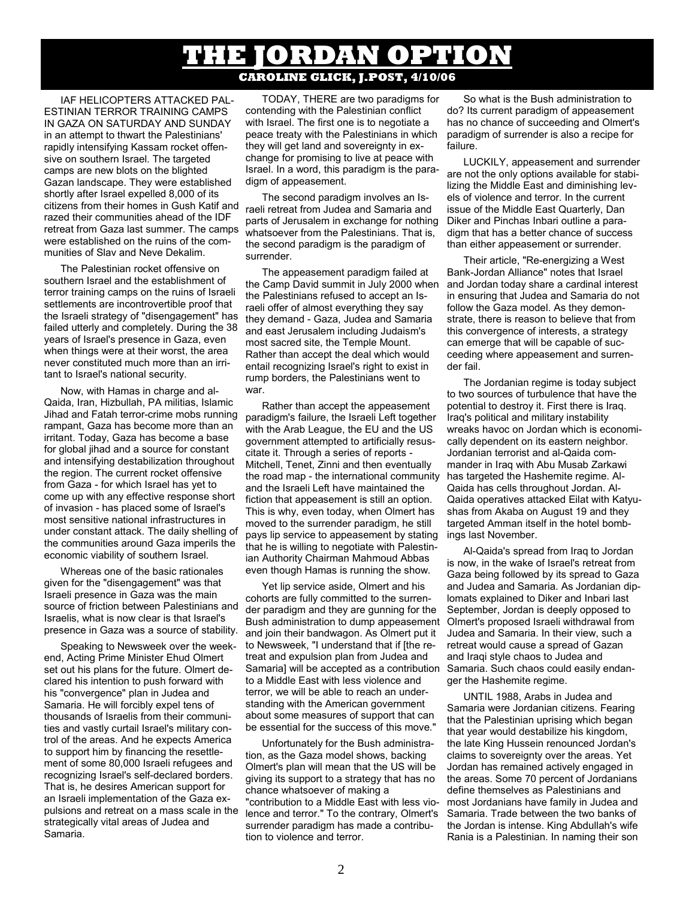## **E JORDAN OPTI CAROLINE GLICK, J.POST, 4/10/06**

IAF HELICOPTERS ATTACKED PAL-ESTINIAN TERROR TRAINING CAMPS IN GAZA ON SATURDAY AND SUNDAY in an attempt to thwart the Palestinians' rapidly intensifying Kassam rocket offensive on southern Israel. The targeted camps are new blots on the blighted Gazan landscape. They were established shortly after Israel expelled 8,000 of its citizens from their homes in Gush Katif and razed their communities ahead of the IDF retreat from Gaza last summer. The camps were established on the ruins of the communities of Slav and Neve Dekalim.

The Palestinian rocket offensive on southern Israel and the establishment of terror training camps on the ruins of Israeli settlements are incontrovertible proof that the Israeli strategy of "disengagement" has failed utterly and completely. During the 38 years of Israel's presence in Gaza, even when things were at their worst, the area never constituted much more than an irritant to Israel's national security.

Now, with Hamas in charge and al-Qaida, Iran, Hizbullah, PA militias, Islamic Jihad and Fatah terror-crime mobs running rampant, Gaza has become more than an irritant. Today, Gaza has become a base for global jihad and a source for constant and intensifying destabilization throughout the region. The current rocket offensive from Gaza - for which Israel has yet to come up with any effective response short of invasion - has placed some of Israel's most sensitive national infrastructures in under constant attack. The daily shelling of the communities around Gaza imperils the economic viability of southern Israel.

Whereas one of the basic rationales given for the "disengagement" was that Israeli presence in Gaza was the main source of friction between Palestinians and Israelis, what is now clear is that Israel's presence in Gaza was a source of stability.

Speaking to Newsweek over the weekend, Acting Prime Minister Ehud Olmert set out his plans for the future. Olmert declared his intention to push forward with his "convergence" plan in Judea and Samaria. He will forcibly expel tens of thousands of Israelis from their communities and vastly curtail Israel's military control of the areas. And he expects America to support him by financing the resettlement of some 80,000 Israeli refugees and recognizing Israel's self-declared borders. That is, he desires American support for an Israeli implementation of the Gaza expulsions and retreat on a mass scale in the strategically vital areas of Judea and Samaria.

TODAY, THERE are two paradigms for contending with the Palestinian conflict with Israel. The first one is to negotiate a peace treaty with the Palestinians in which they will get land and sovereignty in exchange for promising to live at peace with Israel. In a word, this paradigm is the paradigm of appeasement.

The second paradigm involves an Israeli retreat from Judea and Samaria and parts of Jerusalem in exchange for nothing whatsoever from the Palestinians. That is, the second paradigm is the paradigm of surrender.

The appeasement paradigm failed at the Camp David summit in July 2000 when the Palestinians refused to accept an Israeli offer of almost everything they say they demand - Gaza, Judea and Samaria and east Jerusalem including Judaism's most sacred site, the Temple Mount. Rather than accept the deal which would entail recognizing Israel's right to exist in rump borders, the Palestinians went to war.

Rather than accept the appeasement paradigm's failure, the Israeli Left together with the Arab League, the EU and the US government attempted to artificially resuscitate it. Through a series of reports - Mitchell, Tenet, Zinni and then eventually the road map - the international community and the Israeli Left have maintained the fiction that appeasement is still an option. This is why, even today, when Olmert has moved to the surrender paradigm, he still pays lip service to appeasement by stating that he is willing to negotiate with Palestinian Authority Chairman Mahmoud Abbas even though Hamas is running the show.

Yet lip service aside, Olmert and his cohorts are fully committed to the surrender paradigm and they are gunning for the Bush administration to dump appeasement and join their bandwagon. As Olmert put it to Newsweek, "I understand that if [the retreat and expulsion plan from Judea and Samaria] will be accepted as a contribution Samaria. Such chaos could easily endanto a Middle East with less violence and terror, we will be able to reach an understanding with the American government about some measures of support that can be essential for the success of this move."

Unfortunately for the Bush administration, as the Gaza model shows, backing Olmert's plan will mean that the US will be giving its support to a strategy that has no chance whatsoever of making a "contribution to a Middle East with less violence and terror." To the contrary, Olmert's surrender paradigm has made a contribution to violence and terror.

So what is the Bush administration to do? Its current paradigm of appeasement has no chance of succeeding and Olmert's paradigm of surrender is also a recipe for failure.

LUCKILY, appeasement and surrender are not the only options available for stabilizing the Middle East and diminishing levels of violence and terror. In the current issue of the Middle East Quarterly, Dan Diker and Pinchas Inbari outline a paradigm that has a better chance of success than either appeasement or surrender.

Their article, "Re-energizing a West Bank-Jordan Alliance" notes that Israel and Jordan today share a cardinal interest in ensuring that Judea and Samaria do not follow the Gaza model. As they demonstrate, there is reason to believe that from this convergence of interests, a strategy can emerge that will be capable of succeeding where appeasement and surrender fail.

The Jordanian regime is today subject to two sources of turbulence that have the potential to destroy it. First there is Iraq. Iraq's political and military instability wreaks havoc on Jordan which is economically dependent on its eastern neighbor. Jordanian terrorist and al-Qaida commander in Iraq with Abu Musab Zarkawi has targeted the Hashemite regime. Al-Qaida has cells throughout Jordan. Al-Qaida operatives attacked Eilat with Katyushas from Akaba on August 19 and they targeted Amman itself in the hotel bombings last November.

Al-Qaida's spread from Iraq to Jordan is now, in the wake of Israel's retreat from Gaza being followed by its spread to Gaza and Judea and Samaria. As Jordanian diplomats explained to Diker and Inbari last September, Jordan is deeply opposed to Olmert's proposed Israeli withdrawal from Judea and Samaria. In their view, such a retreat would cause a spread of Gazan and Iraqi style chaos to Judea and ger the Hashemite regime.

UNTIL 1988, Arabs in Judea and Samaria were Jordanian citizens. Fearing that the Palestinian uprising which began that year would destabilize his kingdom, the late King Hussein renounced Jordan's claims to sovereignty over the areas. Yet Jordan has remained actively engaged in the areas. Some 70 percent of Jordanians define themselves as Palestinians and most Jordanians have family in Judea and Samaria. Trade between the two banks of the Jordan is intense. King Abdullah's wife Rania is a Palestinian. In naming their son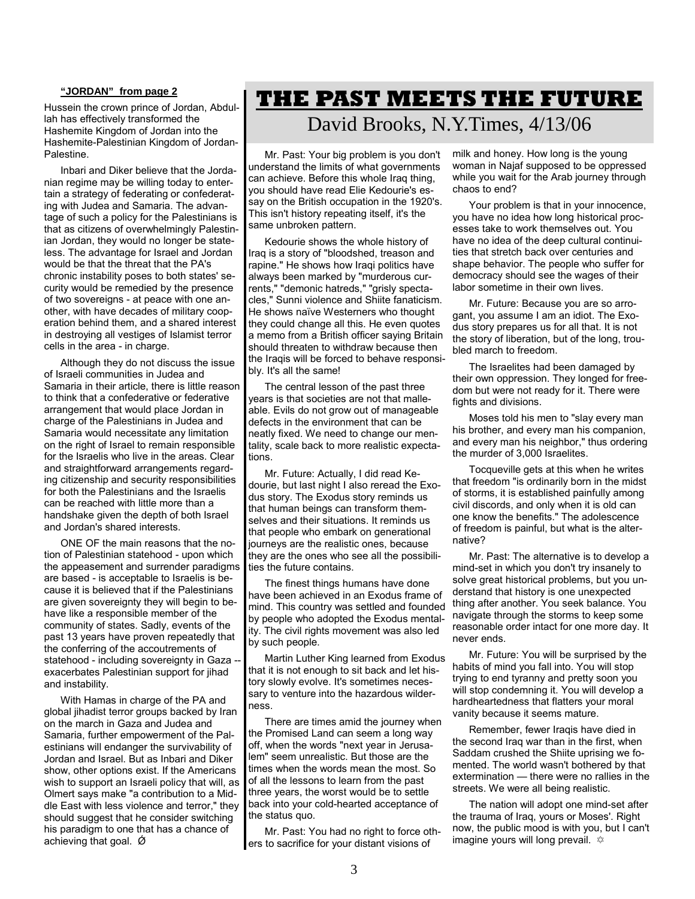#### **"JORDAN" from page 2**

Hussein the crown prince of Jordan, Abdullah has effectively transformed the Hashemite Kingdom of Jordan into the Hashemite-Palestinian Kingdom of Jordan-Palestine.

Inbari and Diker believe that the Jordanian regime may be willing today to entertain a strategy of federating or confederating with Judea and Samaria. The advantage of such a policy for the Palestinians is that as citizens of overwhelmingly Palestinian Jordan, they would no longer be stateless. The advantage for Israel and Jordan would be that the threat that the PA's chronic instability poses to both states' security would be remedied by the presence of two sovereigns - at peace with one another, with have decades of military cooperation behind them, and a shared interest in destroying all vestiges of Islamist terror cells in the area - in charge.

Although they do not discuss the issue of Israeli communities in Judea and Samaria in their article, there is little reason to think that a confederative or federative arrangement that would place Jordan in charge of the Palestinians in Judea and Samaria would necessitate any limitation on the right of Israel to remain responsible for the Israelis who live in the areas. Clear and straightforward arrangements regarding citizenship and security responsibilities for both the Palestinians and the Israelis can be reached with little more than a handshake given the depth of both Israel and Jordan's shared interests.

ONE OF the main reasons that the notion of Palestinian statehood - upon which the appeasement and surrender paradigms are based - is acceptable to Israelis is because it is believed that if the Palestinians are given sovereignty they will begin to behave like a responsible member of the community of states. Sadly, events of the past 13 years have proven repeatedly that the conferring of the accoutrements of statehood - including sovereignty in Gaza exacerbates Palestinian support for jihad and instability.

With Hamas in charge of the PA and global jihadist terror groups backed by Iran on the march in Gaza and Judea and Samaria, further empowerment of the Palestinians will endanger the survivability of Jordan and Israel. But as Inbari and Diker show, other options exist. If the Americans wish to support an Israeli policy that will, as Olmert says make "a contribution to a Middle East with less violence and terror," they should suggest that he consider switching his paradigm to one that has a chance of achieving that goal.  $\varnothing$ 

## **THE PAST MEETS THE FUTURE**

### David Brooks, N.Y.Times, 4/13/06

Mr. Past: Your big problem is you don't understand the limits of what governments can achieve. Before this whole Iraq thing, you should have read Elie Kedourie's essay on the British occupation in the 1920's. This isn't history repeating itself, it's the same unbroken pattern.

Kedourie shows the whole history of Iraq is a story of "bloodshed, treason and rapine." He shows how Iraqi politics have always been marked by "murderous currents," "demonic hatreds," "grisly spectacles," Sunni violence and Shiite fanaticism. He shows naïve Westerners who thought they could change all this. He even quotes a memo from a British officer saying Britain should threaten to withdraw because then the Iraqis will be forced to behave responsibly. It's all the same!

The central lesson of the past three years is that societies are not that malleable. Evils do not grow out of manageable defects in the environment that can be neatly fixed. We need to change our mentality, scale back to more realistic expectations.

Mr. Future: Actually, I did read Kedourie, but last night I also reread the Exodus story. The Exodus story reminds us that human beings can transform themselves and their situations. It reminds us that people who embark on generational journeys are the realistic ones, because they are the ones who see all the possibilities the future contains.

The finest things humans have done have been achieved in an Exodus frame of mind. This country was settled and founded by people who adopted the Exodus mentality. The civil rights movement was also led by such people.

Martin Luther King learned from Exodus that it is not enough to sit back and let history slowly evolve. It's sometimes necessary to venture into the hazardous wilderness.

There are times amid the journey when the Promised Land can seem a long way off, when the words "next year in Jerusalem" seem unrealistic. But those are the times when the words mean the most. So of all the lessons to learn from the past three years, the worst would be to settle back into your cold-hearted acceptance of the status quo.

Mr. Past: You had no right to force others to sacrifice for your distant visions of

milk and honey. How long is the young woman in Najaf supposed to be oppressed while you wait for the Arab journey through chaos to end?

Your problem is that in your innocence, you have no idea how long historical processes take to work themselves out. You have no idea of the deep cultural continuities that stretch back over centuries and shape behavior. The people who suffer for democracy should see the wages of their labor sometime in their own lives.

Mr. Future: Because you are so arrogant, you assume I am an idiot. The Exodus story prepares us for all that. It is not the story of liberation, but of the long, troubled march to freedom.

The Israelites had been damaged by their own oppression. They longed for freedom but were not ready for it. There were fights and divisions.

Moses told his men to "slay every man his brother, and every man his companion, and every man his neighbor," thus ordering the murder of 3,000 Israelites.

Tocqueville gets at this when he writes that freedom "is ordinarily born in the midst of storms, it is established painfully among civil discords, and only when it is old can one know the benefits." The adolescence of freedom is painful, but what is the alternative?

Mr. Past: The alternative is to develop a mind-set in which you don't try insanely to solve great historical problems, but you understand that history is one unexpected thing after another. You seek balance. You navigate through the storms to keep some reasonable order intact for one more day. It never ends.

Mr. Future: You will be surprised by the habits of mind you fall into. You will stop trying to end tyranny and pretty soon you will stop condemning it. You will develop a hardheartedness that flatters your moral vanity because it seems mature.

Remember, fewer Iraqis have died in the second Iraq war than in the first, when Saddam crushed the Shiite uprising we fomented. The world wasn't bothered by that extermination — there were no rallies in the streets. We were all being realistic.

The nation will adopt one mind-set after the trauma of Iraq, yours or Moses'. Right now, the public mood is with you, but I can't imagine yours will long prevail.  $\approx$